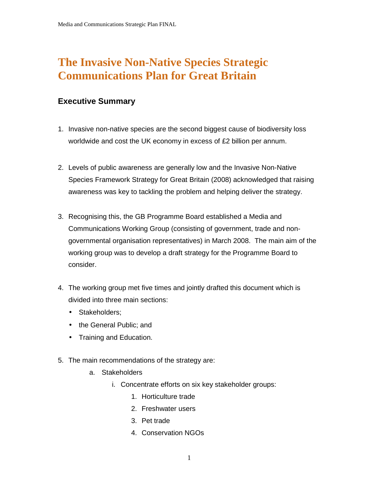# **The Invasive Non-Native Species Strategic Communications Plan for Great Britain**

## **Executive Summary**

- 1. Invasive non-native species are the second biggest cause of biodiversity loss worldwide and cost the UK economy in excess of £2 billion per annum.
- 2. Levels of public awareness are generally low and the Invasive Non-Native Species Framework Strategy for Great Britain (2008) acknowledged that raising awareness was key to tackling the problem and helping deliver the strategy.
- 3. Recognising this, the GB Programme Board established a Media and Communications Working Group (consisting of government, trade and nongovernmental organisation representatives) in March 2008. The main aim of the working group was to develop a draft strategy for the Programme Board to consider.
- 4. The working group met five times and jointly drafted this document which is divided into three main sections:
	- Stakeholders;
	- the General Public; and
	- Training and Education.
- 5. The main recommendations of the strategy are:
	- a. Stakeholders
		- i. Concentrate efforts on six key stakeholder groups:
			- 1. Horticulture trade
			- 2. Freshwater users
			- 3. Pet trade
			- 4. Conservation NGOs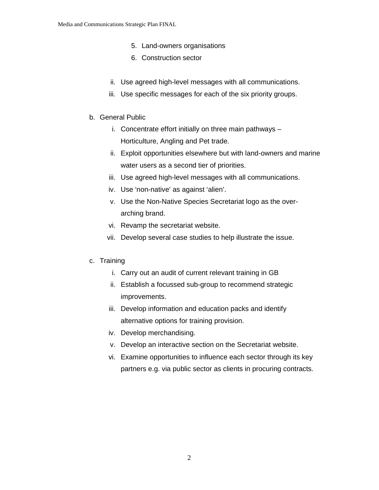- 5. Land-owners organisations
- 6. Construction sector
- ii. Use agreed high-level messages with all communications.
- iii. Use specific messages for each of the six priority groups.
- b. General Public
	- i. Concentrate effort initially on three main pathways Horticulture, Angling and Pet trade.
	- ii. Exploit opportunities elsewhere but with land-owners and marine water users as a second tier of priorities.
	- iii. Use agreed high-level messages with all communications.
	- iv. Use 'non-native' as against 'alien'.
	- v. Use the Non-Native Species Secretariat logo as the overarching brand.
	- vi. Revamp the secretariat website.
	- vii. Develop several case studies to help illustrate the issue.
- c. Training
	- i. Carry out an audit of current relevant training in GB
	- ii. Establish a focussed sub-group to recommend strategic improvements.
	- iii. Develop information and education packs and identify alternative options for training provision.
	- iv. Develop merchandising.
	- v. Develop an interactive section on the Secretariat website.
	- vi. Examine opportunities to influence each sector through its key partners e.g. via public sector as clients in procuring contracts.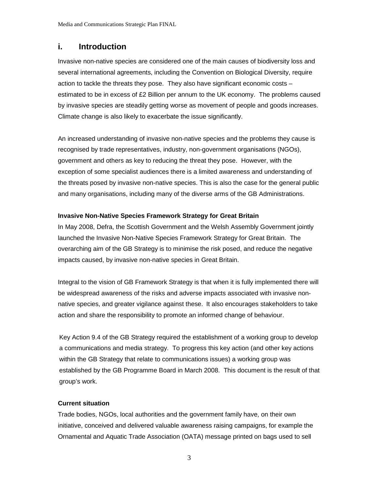## **i. Introduction**

Invasive non-native species are considered one of the main causes of biodiversity loss and several international agreements, including the Convention on Biological Diversity, require action to tackle the threats they pose. They also have significant economic costs – estimated to be in excess of £2 Billion per annum to the UK economy. The problems caused by invasive species are steadily getting worse as movement of people and goods increases. Climate change is also likely to exacerbate the issue significantly.

An increased understanding of invasive non-native species and the problems they cause is recognised by trade representatives, industry, non-government organisations (NGOs), government and others as key to reducing the threat they pose. However, with the exception of some specialist audiences there is a limited awareness and understanding of the threats posed by invasive non-native species. This is also the case for the general public and many organisations, including many of the diverse arms of the GB Administrations.

#### **Invasive Non-Native Species Framework Strategy for Great Britain**

In May 2008, Defra, the Scottish Government and the Welsh Assembly Government jointly launched the Invasive Non-Native Species Framework Strategy for Great Britain. The overarching aim of the GB Strategy is to minimise the risk posed, and reduce the negative impacts caused, by invasive non-native species in Great Britain.

Integral to the vision of GB Framework Strategy is that when it is fully implemented there will be widespread awareness of the risks and adverse impacts associated with invasive nonnative species, and greater vigilance against these. It also encourages stakeholders to take action and share the responsibility to promote an informed change of behaviour.

Key Action 9.4 of the GB Strategy required the establishment of a working group to develop a communications and media strategy. To progress this key action (and other key actions within the GB Strategy that relate to communications issues) a working group was established by the GB Programme Board in March 2008. This document is the result of that group's work.

#### **Current situation**

Trade bodies, NGOs, local authorities and the government family have, on their own initiative, conceived and delivered valuable awareness raising campaigns, for example the Ornamental and Aquatic Trade Association (OATA) message printed on bags used to sell

3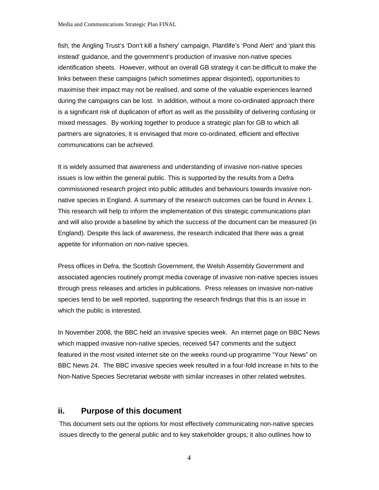fish, the Angling Trust's 'Don't kill a fishery' campaign, Plantlife's 'Pond Alert' and 'plant this instead' guidance, and the government's production of invasive non-native species identification sheets. However, without an overall GB strategy it can be difficult to make the links between these campaigns (which sometimes appear disjointed), opportunities to maximise their impact may not be realised, and some of the valuable experiences learned during the campaigns can be lost. In addition, without a more co-ordinated approach there is a significant risk of duplication of effort as well as the possibility of delivering confusing or mixed messages. By working together to produce a strategic plan for GB to which all partners are signatories, it is envisaged that more co-ordinated, efficient and effective communications can be achieved.

It is widely assumed that awareness and understanding of invasive non-native species issues is low within the general public. This is supported by the results from a Defra commissioned research project into public attitudes and behaviours towards invasive nonnative species in England. A summary of the research outcomes can be found in Annex 1. This research will help to inform the implementation of this strategic communications plan and will also provide a baseline by which the success of the document can be measured (in England). Despite this lack of awareness, the research indicated that there was a great appetite for information on non-native species.

Press offices in Defra, the Scottish Government, the Welsh Assembly Government and associated agencies routinely prompt media coverage of invasive non-native species issues through press releases and articles in publications. Press releases on invasive non-native species tend to be well reported, supporting the research findings that this is an issue in which the public is interested.

In November 2008, the BBC held an invasive species week. An internet page on BBC News which mapped invasive non-native species, received 547 comments and the subject featured in the most visited internet site on the weeks round-up programme "Your News" on BBC News 24. The BBC invasive species week resulted in a four-fold increase in hits to the Non-Native Species Secretariat website with similar increases in other related websites.

### **ii. Purpose of this document**

This document sets out the options for most effectively communicating non-native species issues directly to the general public and to key stakeholder groups; it also outlines how to

4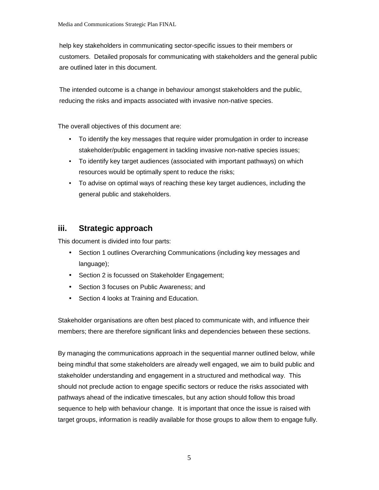help key stakeholders in communicating sector-specific issues to their members or customers. Detailed proposals for communicating with stakeholders and the general public are outlined later in this document.

The intended outcome is a change in behaviour amongst stakeholders and the public, reducing the risks and impacts associated with invasive non-native species.

The overall objectives of this document are:

- To identify the key messages that require wider promulgation in order to increase stakeholder/public engagement in tackling invasive non-native species issues;
- To identify key target audiences (associated with important pathways) on which resources would be optimally spent to reduce the risks;
- To advise on optimal ways of reaching these key target audiences, including the general public and stakeholders.

## **iii. Strategic approach**

This document is divided into four parts:

- Section 1 outlines Overarching Communications (including key messages and language);
- Section 2 is focussed on Stakeholder Engagement;
- Section 3 focuses on Public Awareness; and
- Section 4 looks at Training and Education.

Stakeholder organisations are often best placed to communicate with, and influence their members; there are therefore significant links and dependencies between these sections.

By managing the communications approach in the sequential manner outlined below, while being mindful that some stakeholders are already well engaged, we aim to build public and stakeholder understanding and engagement in a structured and methodical way. This should not preclude action to engage specific sectors or reduce the risks associated with pathways ahead of the indicative timescales, but any action should follow this broad sequence to help with behaviour change. It is important that once the issue is raised with target groups, information is readily available for those groups to allow them to engage fully.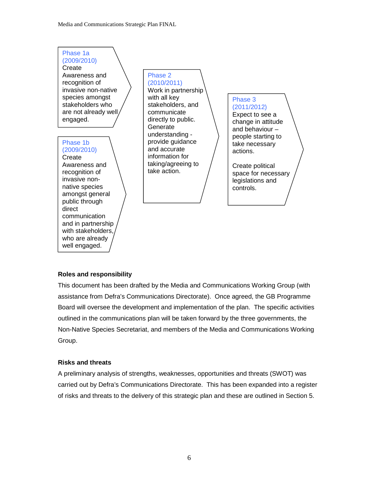#### Phase 1a (2009/2010)

Create Awareness and recognition of invasive non-native species amongst stakeholders who are not already well engaged.

#### Phase 1b (2009/2010)

**Create** Awareness and recognition of invasive nonnative species amongst general public through direct communication and in partnership with stakeholders, who are already well engaged.

Phase 2 (2010/2011)

Work in partnership with all key stakeholders, and communicate directly to public. **Generate** understanding provide guidance and accurate information for taking/agreeing to take action.

#### Phase 3 (2011/2012)

Expect to see a change in attitude and behaviour – people starting to take necessary actions.

Create political space for necessary legislations and controls.

#### **Roles and responsibility**

This document has been drafted by the Media and Communications Working Group (with assistance from Defra's Communications Directorate). Once agreed, the GB Programme Board will oversee the development and implementation of the plan. The specific activities outlined in the communications plan will be taken forward by the three governments, the Non-Native Species Secretariat, and members of the Media and Communications Working Group.

#### **Risks and threats**

A preliminary analysis of strengths, weaknesses, opportunities and threats (SWOT) was carried out by Defra's Communications Directorate. This has been expanded into a register of risks and threats to the delivery of this strategic plan and these are outlined in Section 5.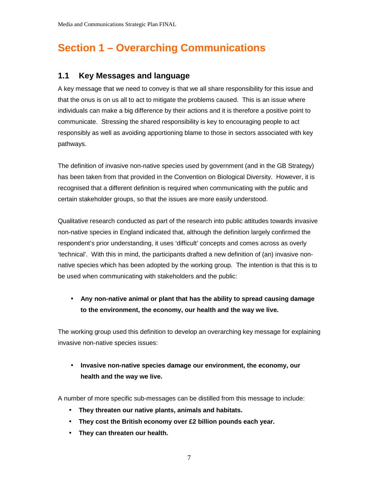# **Section 1 – Overarching Communications**

## **1.1 Key Messages and language**

A key message that we need to convey is that we all share responsibility for this issue and that the onus is on us all to act to mitigate the problems caused. This is an issue where individuals can make a big difference by their actions and it is therefore a positive point to communicate. Stressing the shared responsibility is key to encouraging people to act responsibly as well as avoiding apportioning blame to those in sectors associated with key pathways.

The definition of invasive non-native species used by government (and in the GB Strategy) has been taken from that provided in the Convention on Biological Diversity. However, it is recognised that a different definition is required when communicating with the public and certain stakeholder groups, so that the issues are more easily understood.

Qualitative research conducted as part of the research into public attitudes towards invasive non-native species in England indicated that, although the definition largely confirmed the respondent's prior understanding, it uses 'difficult' concepts and comes across as overly 'technical'. With this in mind, the participants drafted a new definition of (an) invasive nonnative species which has been adopted by the working group. The intention is that this is to be used when communicating with stakeholders and the public:

## • **Any non-native animal or plant that has the ability to spread causing damage to the environment, the economy, our health and the way we live.**

The working group used this definition to develop an overarching key message for explaining invasive non-native species issues:

• **Invasive non-native species damage our environment, the economy, our health and the way we live.** 

A number of more specific sub-messages can be distilled from this message to include:

- **They threaten our native plants, animals and habitats.**
- **They cost the British economy over £2 billion pounds each year.**
- **They can threaten our health.**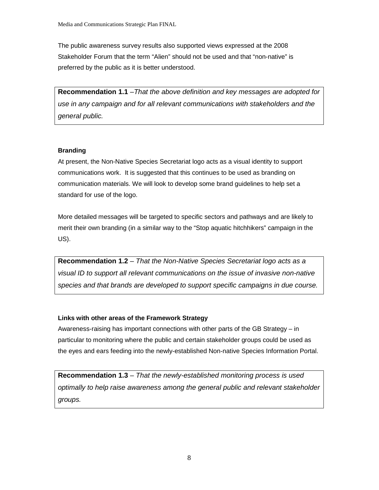The public awareness survey results also supported views expressed at the 2008 Stakeholder Forum that the term "Alien" should not be used and that "non-native" is preferred by the public as it is better understood.

**Recommendation 1.1** –That the above definition and key messages are adopted for use in any campaign and for all relevant communications with stakeholders and the general public.

#### **Branding**

At present, the Non-Native Species Secretariat logo acts as a visual identity to support communications work. It is suggested that this continues to be used as branding on communication materials. We will look to develop some brand guidelines to help set a standard for use of the logo.

More detailed messages will be targeted to specific sectors and pathways and are likely to merit their own branding (in a similar way to the "Stop aquatic hitchhikers" campaign in the US).

**Recommendation 1.2** – That the Non-Native Species Secretariat logo acts as a visual ID to support all relevant communications on the issue of invasive non-native species and that brands are developed to support specific campaigns in due course.

#### **Links with other areas of the Framework Strategy**

Awareness-raising has important connections with other parts of the GB Strategy – in particular to monitoring where the public and certain stakeholder groups could be used as the eyes and ears feeding into the newly-established Non-native Species Information Portal.

**Recommendation 1.3** – That the newly-established monitoring process is used optimally to help raise awareness among the general public and relevant stakeholder groups.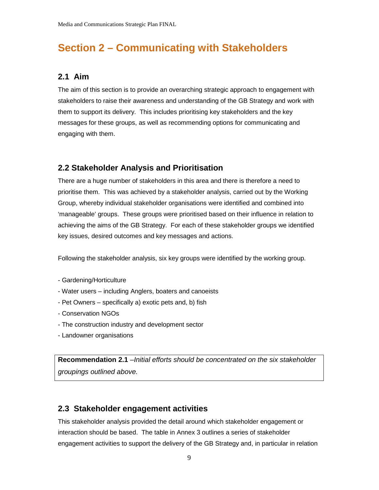## **Section 2 – Communicating with Stakeholders**

### **2.1 Aim**

The aim of this section is to provide an overarching strategic approach to engagement with stakeholders to raise their awareness and understanding of the GB Strategy and work with them to support its delivery. This includes prioritising key stakeholders and the key messages for these groups, as well as recommending options for communicating and engaging with them.

## **2.2 Stakeholder Analysis and Prioritisation**

There are a huge number of stakeholders in this area and there is therefore a need to prioritise them. This was achieved by a stakeholder analysis, carried out by the Working Group, whereby individual stakeholder organisations were identified and combined into 'manageable' groups. These groups were prioritised based on their influence in relation to achieving the aims of the GB Strategy. For each of these stakeholder groups we identified key issues, desired outcomes and key messages and actions.

Following the stakeholder analysis, six key groups were identified by the working group.

- Gardening/Horticulture
- Water users including Anglers, boaters and canoeists
- Pet Owners specifically a) exotic pets and, b) fish
- Conservation NGOs
- The construction industry and development sector
- Landowner organisations

**Recommendation 2.1** –Initial efforts should be concentrated on the six stakeholder groupings outlined above.

#### **2.3 Stakeholder engagement activities**

This stakeholder analysis provided the detail around which stakeholder engagement or interaction should be based. The table in Annex 3 outlines a series of stakeholder engagement activities to support the delivery of the GB Strategy and, in particular in relation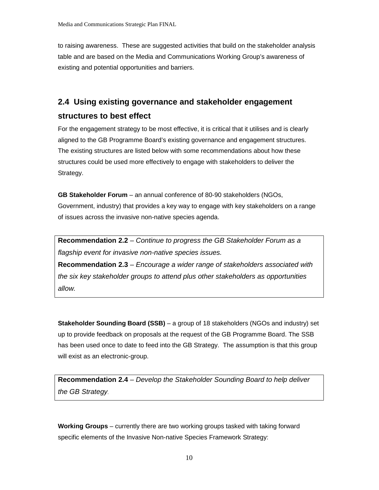to raising awareness. These are suggested activities that build on the stakeholder analysis table and are based on the Media and Communications Working Group's awareness of existing and potential opportunities and barriers.

## **2.4 Using existing governance and stakeholder engagement structures to best effect**

For the engagement strategy to be most effective, it is critical that it utilises and is clearly aligned to the GB Programme Board's existing governance and engagement structures. The existing structures are listed below with some recommendations about how these structures could be used more effectively to engage with stakeholders to deliver the Strategy.

**GB Stakeholder Forum** – an annual conference of 80-90 stakeholders (NGOs, Government, industry) that provides a key way to engage with key stakeholders on a range of issues across the invasive non-native species agenda.

**Recommendation 2.2** – Continue to progress the GB Stakeholder Forum as a flagship event for invasive non-native species issues.

**Recommendation 2.3** – Encourage a wider range of stakeholders associated with the six key stakeholder groups to attend plus other stakeholders as opportunities allow.

**Stakeholder Sounding Board (SSB)** – a group of 18 stakeholders (NGOs and industry) set up to provide feedback on proposals at the request of the GB Programme Board. The SSB has been used once to date to feed into the GB Strategy. The assumption is that this group will exist as an electronic-group.

**Recommendation 2.4** – Develop the Stakeholder Sounding Board to help deliver the GB Strategy.

**Working Groups** – currently there are two working groups tasked with taking forward specific elements of the Invasive Non-native Species Framework Strategy: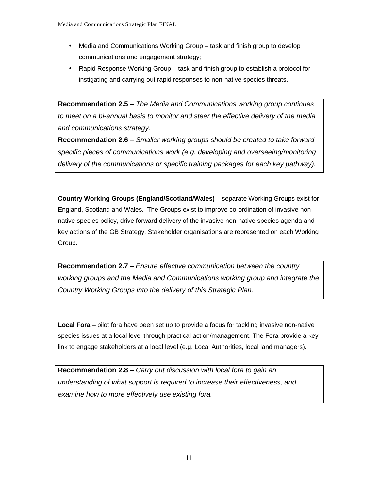- Media and Communications Working Group task and finish group to develop communications and engagement strategy;
- Rapid Response Working Group task and finish group to establish a protocol for instigating and carrying out rapid responses to non-native species threats.

**Recommendation 2.5** – The Media and Communications working group continues to meet on a bi-annual basis to monitor and steer the effective delivery of the media and communications strategy.

**Recommendation 2.6** – Smaller working groups should be created to take forward specific pieces of communications work (e.g. developing and overseeing/monitoring delivery of the communications or specific training packages for each key pathway).

**Country Working Groups (England/Scotland/Wales)** – separate Working Groups exist for England, Scotland and Wales. The Groups exist to improve co-ordination of invasive nonnative species policy, drive forward delivery of the invasive non-native species agenda and key actions of the GB Strategy. Stakeholder organisations are represented on each Working Group.

**Recommendation 2.7** – Ensure effective communication between the country working groups and the Media and Communications working group and integrate the Country Working Groups into the delivery of this Strategic Plan.

**Local Fora** – pilot fora have been set up to provide a focus for tackling invasive non-native species issues at a local level through practical action/management. The Fora provide a key link to engage stakeholders at a local level (e.g. Local Authorities, local land managers).

**Recommendation 2.8** – Carry out discussion with local fora to gain an understanding of what support is required to increase their effectiveness, and examine how to more effectively use existing fora.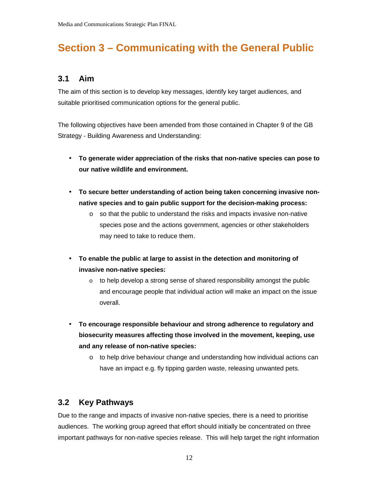# **Section 3 – Communicating with the General Public**

## **3.1 Aim**

The aim of this section is to develop key messages, identify key target audiences, and suitable prioritised communication options for the general public.

The following objectives have been amended from those contained in Chapter 9 of the GB Strategy - Building Awareness and Understanding:

- **To generate wider appreciation of the risks that non-native species can pose to our native wildlife and environment.**
- **To secure better understanding of action being taken concerning invasive nonnative species and to gain public support for the decision-making process:** 
	- $\circ$  so that the public to understand the risks and impacts invasive non-native species pose and the actions government, agencies or other stakeholders may need to take to reduce them.
- **To enable the public at large to assist in the detection and monitoring of invasive non-native species:** 
	- $\circ$  to help develop a strong sense of shared responsibility amongst the public and encourage people that individual action will make an impact on the issue overall.
- **To encourage responsible behaviour and strong adherence to regulatory and biosecurity measures affecting those involved in the movement, keeping, use and any release of non-native species:** 
	- $\circ$  to help drive behaviour change and understanding how individual actions can have an impact e.g. fly tipping garden waste, releasing unwanted pets.

## **3.2 Key Pathways**

Due to the range and impacts of invasive non-native species, there is a need to prioritise audiences. The working group agreed that effort should initially be concentrated on three important pathways for non-native species release. This will help target the right information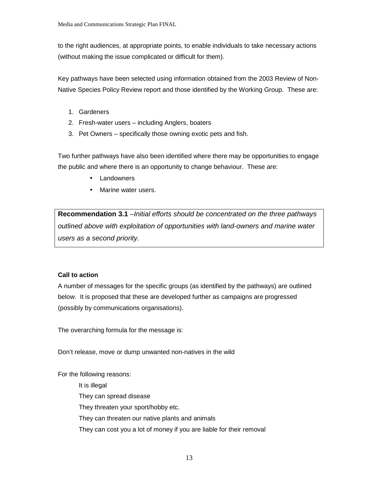to the right audiences, at appropriate points, to enable individuals to take necessary actions (without making the issue complicated or difficult for them).

Key pathways have been selected using information obtained from the 2003 Review of Non-Native Species Policy Review report and those identified by the Working Group. These are:

- 1. Gardeners
- 2. Fresh-water users including Anglers, boaters
- 3. Pet Owners specifically those owning exotic pets and fish.

Two further pathways have also been identified where there may be opportunities to engage the public and where there is an opportunity to change behaviour. These are:

- **Landowners**
- Marine water users.

**Recommendation 3.1** –Initial efforts should be concentrated on the three pathways outlined above with exploitation of opportunities with land-owners and marine water users as a second priority.

#### **Call to action**

A number of messages for the specific groups (as identified by the pathways) are outlined below. It is proposed that these are developed further as campaigns are progressed (possibly by communications organisations).

The overarching formula for the message is:

Don't release, move or dump unwanted non-natives in the wild

For the following reasons:

 It is illegal They can spread disease They threaten your sport/hobby etc. They can threaten our native plants and animals They can cost you a lot of money if you are liable for their removal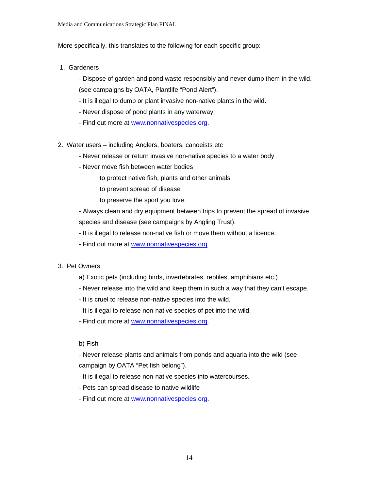More specifically, this translates to the following for each specific group:

- 1. Gardeners
	- Dispose of garden and pond waste responsibly and never dump them in the wild. (see campaigns by OATA, Plantlife "Pond Alert").
	- It is illegal to dump or plant invasive non-native plants in the wild.
	- Never dispose of pond plants in any waterway.
	- Find out more at www.nonnativespecies.org.
- 2. Water users including Anglers, boaters, canoeists etc
	- Never release or return invasive non-native species to a water body
	- Never move fish between water bodies
		- to protect native fish, plants and other animals
		- to prevent spread of disease
		- to preserve the sport you love.

- Always clean and dry equipment between trips to prevent the spread of invasive species and disease (see campaigns by Angling Trust).

- It is illegal to release non-native fish or move them without a licence.

- Find out more at www.nonnativespecies.org.

#### 3. Pet Owners

- a) Exotic pets (including birds, invertebrates, reptiles, amphibians etc.)
- Never release into the wild and keep them in such a way that they can't escape.
- It is cruel to release non-native species into the wild.
- It is illegal to release non-native species of pet into the wild.
- Find out more at www.nonnativespecies.org.

b) Fish

- Never release plants and animals from ponds and aquaria into the wild (see campaign by OATA "Pet fish belong").

- It is illegal to release non-native species into watercourses.
- Pets can spread disease to native wildlife
- Find out more at www.nonnativespecies.org.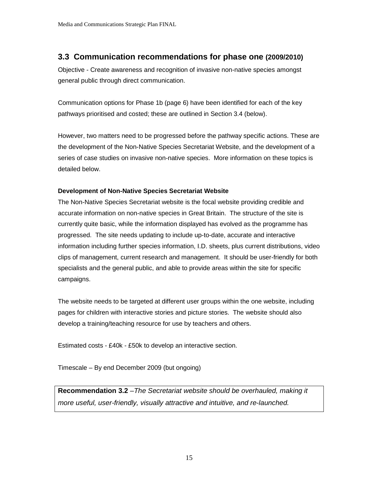## **3.3 Communication recommendations for phase one (2009/2010)**

Objective - Create awareness and recognition of invasive non-native species amongst general public through direct communication.

Communication options for Phase 1b (page 6) have been identified for each of the key pathways prioritised and costed; these are outlined in Section 3.4 (below).

However, two matters need to be progressed before the pathway specific actions. These are the development of the Non-Native Species Secretariat Website, and the development of a series of case studies on invasive non-native species. More information on these topics is detailed below.

#### **Development of Non-Native Species Secretariat Website**

The Non-Native Species Secretariat website is the focal website providing credible and accurate information on non-native species in Great Britain. The structure of the site is currently quite basic, while the information displayed has evolved as the programme has progressed. The site needs updating to include up-to-date, accurate and interactive information including further species information, I.D. sheets, plus current distributions, video clips of management, current research and management. It should be user-friendly for both specialists and the general public, and able to provide areas within the site for specific campaigns.

The website needs to be targeted at different user groups within the one website, including pages for children with interactive stories and picture stories. The website should also develop a training/teaching resource for use by teachers and others.

Estimated costs - £40k - £50k to develop an interactive section.

Timescale – By end December 2009 (but ongoing)

**Recommendation 3.2** –The Secretariat website should be overhauled, making it more useful, user-friendly, visually attractive and intuitive, and re-launched.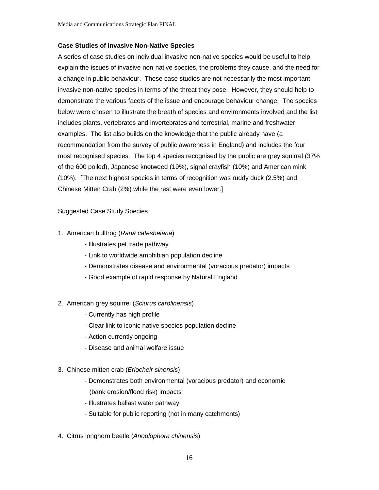#### **Case Studies of Invasive Non-Native Species**

A series of case studies on individual invasive non-native species would be useful to help explain the issues of invasive non-native species, the problems they cause, and the need for a change in public behaviour. These case studies are not necessarily the most important invasive non-native species in terms of the threat they pose. However, they should help to demonstrate the various facets of the issue and encourage behaviour change. The species below were chosen to illustrate the breath of species and environments involved and the list includes plants, vertebrates and invertebrates and terrestrial, marine and freshwater examples. The list also builds on the knowledge that the public already have (a recommendation from the survey of public awareness in England) and includes the four most recognised species. The top 4 species recognised by the public are grey squirrel (37% of the 600 polled), Japanese knotweed (19%), signal crayfish (10%) and American mink (10%). [The next highest species in terms of recognition was ruddy duck (2.5%) and Chinese Mitten Crab (2%) while the rest were even lower.]

#### Suggested Case Study Species

#### 1. American bullfrog (Rana catesbeiana)

- Illustrates pet trade pathway
- Link to worldwide amphibian population decline
- Demonstrates disease and environmental (voracious predator) impacts
- Good example of rapid response by Natural England

#### 2. American grey squirrel (Sciurus carolinensis)

- Currently has high profile
- Clear link to iconic native species population decline
- Action currently ongoing
- Disease and animal welfare issue
- 3. Chinese mitten crab (Eriocheir sinensis)
	- Demonstrates both environmental (voracious predator) and economic (bank erosion/flood risk) impacts
	- Illustrates ballast water pathway
	- Suitable for public reporting (not in many catchments)
- 4. Citrus longhorn beetle (Anoplophora chinensis)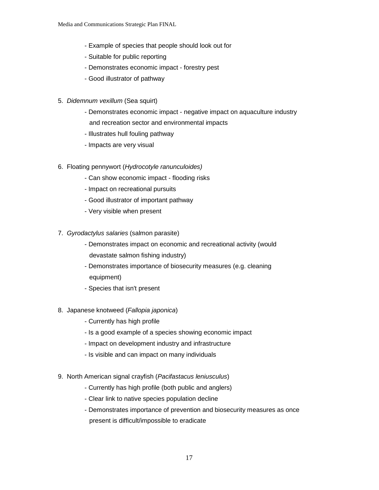- Example of species that people should look out for
- Suitable for public reporting
- Demonstrates economic impact forestry pest
- Good illustrator of pathway
- 5. Didemnum vexillum (Sea squirt)
	- Demonstrates economic impact negative impact on aquaculture industry and recreation sector and environmental impacts
	- Illustrates hull fouling pathway
	- Impacts are very visual
- 6. Floating pennywort (Hydrocotyle ranunculoides)
	- Can show economic impact flooding risks
	- Impact on recreational pursuits
	- Good illustrator of important pathway
	- Very visible when present
- 7. Gyrodactylus salaries (salmon parasite)
	- Demonstrates impact on economic and recreational activity (would devastate salmon fishing industry)
	- Demonstrates importance of biosecurity measures (e.g. cleaning equipment)
	- Species that isn't present
- 8. Japanese knotweed (Fallopia japonica)
	- Currently has high profile
	- Is a good example of a species showing economic impact
	- Impact on development industry and infrastructure
	- Is visible and can impact on many individuals
- 9. North American signal crayfish (Pacifastacus leniusculus)
	- Currently has high profile (both public and anglers)
	- Clear link to native species population decline
	- Demonstrates importance of prevention and biosecurity measures as once present is difficult/impossible to eradicate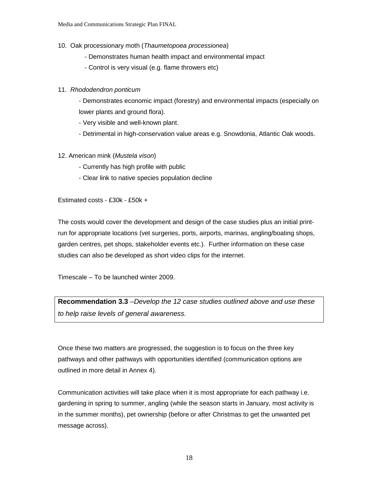- 10. Oak processionary moth (Thaumetopoea processionea)
	- Demonstrates human health impact and environmental impact
	- Control is very visual (e.g. flame throwers etc)

#### 11. Rhododendron ponticum

 - Demonstrates economic impact (forestry) and environmental impacts (especially on lower plants and ground flora).

- Very visible and well-known plant.
- Detrimental in high-conservation value areas e.g. Snowdonia, Atlantic Oak woods.
- 12. American mink (Mustela vison)
	- Currently has high profile with public
	- Clear link to native species population decline

Estimated costs - £30k - £50k +

The costs would cover the development and design of the case studies plus an initial printrun for appropriate locations (vet surgeries, ports, airports, marinas, angling/boating shops, garden centres, pet shops, stakeholder events etc.). Further information on these case studies can also be developed as short video clips for the internet.

Timescale – To be launched winter 2009.

**Recommendation 3.3** –Develop the 12 case studies outlined above and use these to help raise levels of general awareness.

Once these two matters are progressed, the suggestion is to focus on the three key pathways and other pathways with opportunities identified (communication options are outlined in more detail in Annex 4).

Communication activities will take place when it is most appropriate for each pathway i.e. gardening in spring to summer, angling (while the season starts in January, most activity is in the summer months), pet ownership (before or after Christmas to get the unwanted pet message across).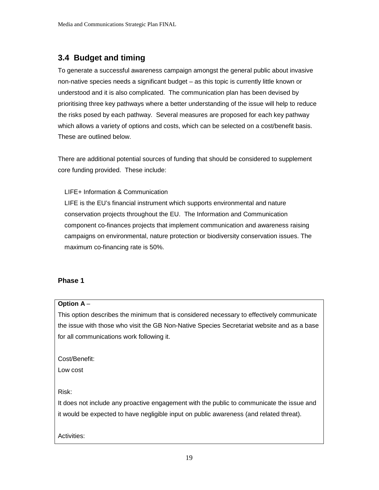## **3.4 Budget and timing**

To generate a successful awareness campaign amongst the general public about invasive non-native species needs a significant budget – as this topic is currently little known or understood and it is also complicated. The communication plan has been devised by prioritising three key pathways where a better understanding of the issue will help to reduce the risks posed by each pathway. Several measures are proposed for each key pathway which allows a variety of options and costs, which can be selected on a cost/benefit basis. These are outlined below.

There are additional potential sources of funding that should be considered to supplement core funding provided. These include:

LIFE+ Information & Communication

LIFE is the EU's financial instrument which supports environmental and nature conservation projects throughout the EU. The Information and Communication component co-finances projects that implement communication and awareness raising campaigns on environmental, nature protection or biodiversity conservation issues. The maximum co-financing rate is 50%.

#### **Phase 1**

#### **Option A** –

This option describes the minimum that is considered necessary to effectively communicate the issue with those who visit the GB Non-Native Species Secretariat website and as a base for all communications work following it.

Cost/Benefit:

Low cost

#### Risk:

It does not include any proactive engagement with the public to communicate the issue and it would be expected to have negligible input on public awareness (and related threat).

Activities: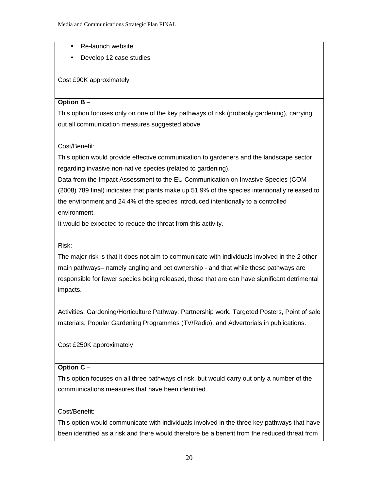- Re-launch website
- Develop 12 case studies

Cost £90K approximately

#### **Option B** –

This option focuses only on one of the key pathways of risk (probably gardening), carrying out all communication measures suggested above.

#### Cost/Benefit:

This option would provide effective communication to gardeners and the landscape sector regarding invasive non-native species (related to gardening).

Data from the Impact Assessment to the EU Communication on Invasive Species (COM (2008) 789 final) indicates that plants make up 51.9% of the species intentionally released to the environment and 24.4% of the species introduced intentionally to a controlled environment.

It would be expected to reduce the threat from this activity.

#### Risk:

The major risk is that it does not aim to communicate with individuals involved in the 2 other main pathways– namely angling and pet ownership - and that while these pathways are responsible for fewer species being released, those that are can have significant detrimental impacts.

Activities: Gardening/Horticulture Pathway: Partnership work, Targeted Posters, Point of sale materials, Popular Gardening Programmes (TV/Radio), and Advertorials in publications.

#### Cost £250K approximately

#### **Option C** –

This option focuses on all three pathways of risk, but would carry out only a number of the communications measures that have been identified.

#### Cost/Benefit:

This option would communicate with individuals involved in the three key pathways that have been identified as a risk and there would therefore be a benefit from the reduced threat from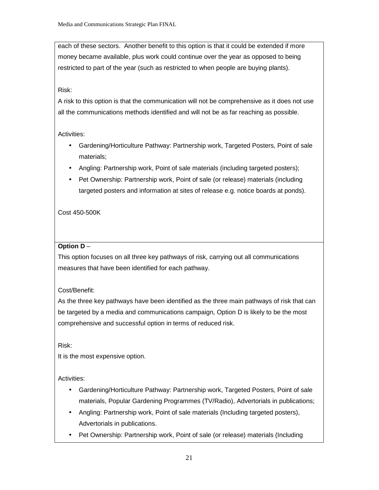each of these sectors. Another benefit to this option is that it could be extended if more money became available, plus work could continue over the year as opposed to being restricted to part of the year (such as restricted to when people are buying plants).

#### Risk:

A risk to this option is that the communication will not be comprehensive as it does not use all the communications methods identified and will not be as far reaching as possible.

#### Activities:

- Gardening/Horticulture Pathway: Partnership work, Targeted Posters, Point of sale materials;
- Angling: Partnership work, Point of sale materials (including targeted posters);
- Pet Ownership: Partnership work, Point of sale (or release) materials (including targeted posters and information at sites of release e.g. notice boards at ponds).

#### Cost 450-500K

#### **Option D** –

This option focuses on all three key pathways of risk, carrying out all communications measures that have been identified for each pathway.

#### Cost/Benefit:

As the three key pathways have been identified as the three main pathways of risk that can be targeted by a media and communications campaign, Option D is likely to be the most comprehensive and successful option in terms of reduced risk.

Risk:

It is the most expensive option.

Activities:

- Gardening/Horticulture Pathway: Partnership work, Targeted Posters, Point of sale materials, Popular Gardening Programmes (TV/Radio), Advertorials in publications;
- Angling: Partnership work, Point of sale materials (Including targeted posters), Advertorials in publications.
- Pet Ownership: Partnership work, Point of sale (or release) materials (Including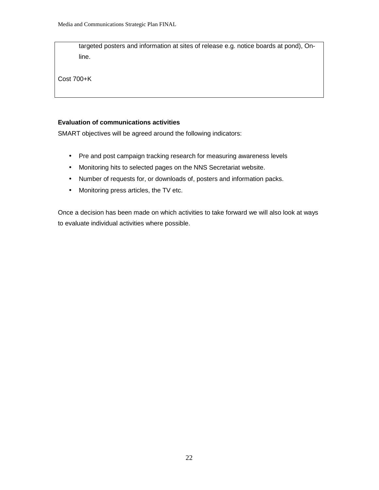targeted posters and information at sites of release e.g. notice boards at pond), Online.

Cost 700+K

#### **Evaluation of communications activities**

SMART objectives will be agreed around the following indicators:

- Pre and post campaign tracking research for measuring awareness levels
- Monitoring hits to selected pages on the NNS Secretariat website.
- Number of requests for, or downloads of, posters and information packs.
- Monitoring press articles, the TV etc.

Once a decision has been made on which activities to take forward we will also look at ways to evaluate individual activities where possible.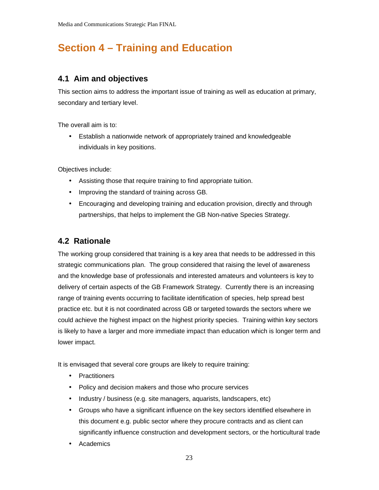# **Section 4 – Training and Education**

## **4.1 Aim and objectives**

This section aims to address the important issue of training as well as education at primary, secondary and tertiary level.

The overall aim is to:

• Establish a nationwide network of appropriately trained and knowledgeable individuals in key positions.

Objectives include:

- Assisting those that require training to find appropriate tuition.
- Improving the standard of training across GB.
- Encouraging and developing training and education provision, directly and through partnerships, that helps to implement the GB Non-native Species Strategy.

## **4.2 Rationale**

The working group considered that training is a key area that needs to be addressed in this strategic communications plan. The group considered that raising the level of awareness and the knowledge base of professionals and interested amateurs and volunteers is key to delivery of certain aspects of the GB Framework Strategy. Currently there is an increasing range of training events occurring to facilitate identification of species, help spread best practice etc. but it is not coordinated across GB or targeted towards the sectors where we could achieve the highest impact on the highest priority species. Training within key sectors is likely to have a larger and more immediate impact than education which is longer term and lower impact.

It is envisaged that several core groups are likely to require training:

- Practitioners
- Policy and decision makers and those who procure services
- Industry / business (e.g. site managers, aquarists, landscapers, etc)
- Groups who have a significant influence on the key sectors identified elsewhere in this document e.g. public sector where they procure contracts and as client can significantly influence construction and development sectors, or the horticultural trade
- **Academics**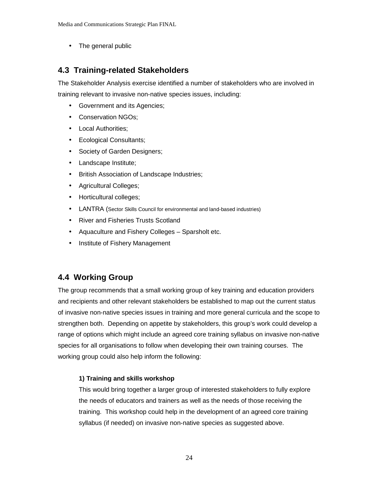• The general public

## **4.3 Training-related Stakeholders**

The Stakeholder Analysis exercise identified a number of stakeholders who are involved in training relevant to invasive non-native species issues, including:

- Government and its Agencies;
- Conservation NGOs;
- Local Authorities;
- Ecological Consultants;
- Society of Garden Designers;
- Landscape Institute;
- British Association of Landscape Industries;
- Agricultural Colleges;
- Horticultural colleges;
- LANTRA (Sector Skills Council for environmental and land-based industries)
- River and Fisheries Trusts Scotland
- Aquaculture and Fishery Colleges Sparsholt etc.
- Institute of Fishery Management

## **4.4 Working Group**

The group recommends that a small working group of key training and education providers and recipients and other relevant stakeholders be established to map out the current status of invasive non-native species issues in training and more general curricula and the scope to strengthen both. Depending on appetite by stakeholders, this group's work could develop a range of options which might include an agreed core training syllabus on invasive non-native species for all organisations to follow when developing their own training courses. The working group could also help inform the following:

#### **1) Training and skills workshop**

This would bring together a larger group of interested stakeholders to fully explore the needs of educators and trainers as well as the needs of those receiving the training. This workshop could help in the development of an agreed core training syllabus (if needed) on invasive non-native species as suggested above.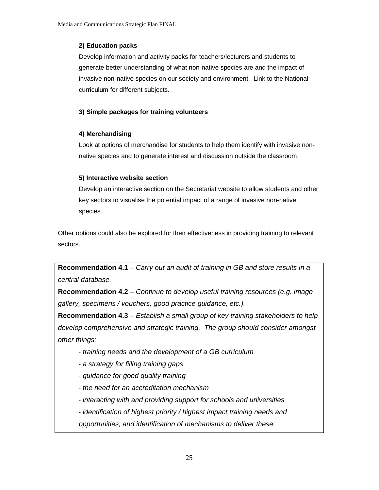### **2) Education packs**

Develop information and activity packs for teachers/lecturers and students to generate better understanding of what non-native species are and the impact of invasive non-native species on our society and environment. Link to the National curriculum for different subjects.

### **3) Simple packages for training volunteers**

#### **4) Merchandising**

Look at options of merchandise for students to help them identify with invasive nonnative species and to generate interest and discussion outside the classroom.

#### **5) Interactive website section**

Develop an interactive section on the Secretariat website to allow students and other key sectors to visualise the potential impact of a range of invasive non-native species.

Other options could also be explored for their effectiveness in providing training to relevant sectors.

**Recommendation 4.1** – Carry out an audit of training in GB and store results in a central database.

**Recommendation 4.2** – Continue to develop useful training resources (e.g. image gallery, specimens / vouchers, good practice guidance, etc.).

**Recommendation 4.3** – Establish a small group of key training stakeholders to help develop comprehensive and strategic training. The group should consider amongst other things:

- training needs and the development of a GB curriculum
- a strategy for filling training gaps
- guidance for good quality training
- the need for an accreditation mechanism
- interacting with and providing support for schools and universities

- identification of highest priority / highest impact training needs and opportunities, and identification of mechanisms to deliver these.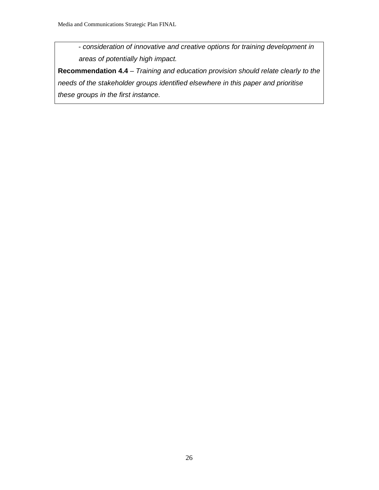- consideration of innovative and creative options for training development in areas of potentially high impact.

**Recommendation 4.4** – Training and education provision should relate clearly to the needs of the stakeholder groups identified elsewhere in this paper and prioritise these groups in the first instance.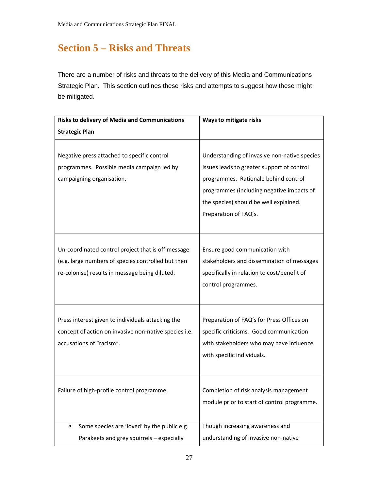## **Section 5 – Risks and Threats**

There are a number of risks and threats to the delivery of this Media and Communications Strategic Plan. This section outlines these risks and attempts to suggest how these might be mitigated.

| <b>Risks to delivery of Media and Communications</b>     | Ways to mitigate risks                       |  |
|----------------------------------------------------------|----------------------------------------------|--|
| <b>Strategic Plan</b>                                    |                                              |  |
|                                                          |                                              |  |
| Negative press attached to specific control              | Understanding of invasive non-native species |  |
| programmes. Possible media campaign led by               | issues leads to greater support of control   |  |
| campaigning organisation.                                | programmes. Rationale behind control         |  |
|                                                          | programmes (including negative impacts of    |  |
|                                                          | the species) should be well explained.       |  |
|                                                          | Preparation of FAQ's.                        |  |
|                                                          |                                              |  |
|                                                          |                                              |  |
| Un-coordinated control project that is off message       | Ensure good communication with               |  |
| (e.g. large numbers of species controlled but then       | stakeholders and dissemination of messages   |  |
| re-colonise) results in message being diluted.           | specifically in relation to cost/benefit of  |  |
|                                                          | control programmes.                          |  |
|                                                          |                                              |  |
|                                                          |                                              |  |
| Press interest given to individuals attacking the        | Preparation of FAQ's for Press Offices on    |  |
| concept of action on invasive non-native species i.e.    | specific criticisms. Good communication      |  |
| accusations of "racism".                                 | with stakeholders who may have influence     |  |
|                                                          | with specific individuals.                   |  |
|                                                          |                                              |  |
|                                                          |                                              |  |
| Failure of high-profile control programme.               | Completion of risk analysis management       |  |
|                                                          | module prior to start of control programme.  |  |
|                                                          |                                              |  |
| Some species are 'loved' by the public e.g.<br>$\bullet$ | Though increasing awareness and              |  |
| Parakeets and grey squirrels - especially                | understanding of invasive non-native         |  |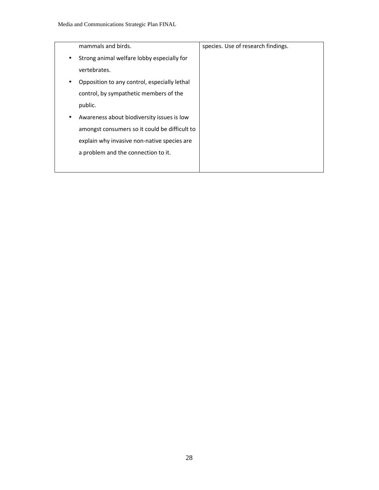|   | mammals and birds.                            | species. Use of research findings. |
|---|-----------------------------------------------|------------------------------------|
| ٠ | Strong animal welfare lobby especially for    |                                    |
|   | vertebrates.                                  |                                    |
|   | Opposition to any control, especially lethal  |                                    |
|   | control, by sympathetic members of the        |                                    |
|   | public.                                       |                                    |
|   | Awareness about biodiversity issues is low    |                                    |
|   | amongst consumers so it could be difficult to |                                    |
|   | explain why invasive non-native species are   |                                    |
|   | a problem and the connection to it.           |                                    |
|   |                                               |                                    |
|   |                                               |                                    |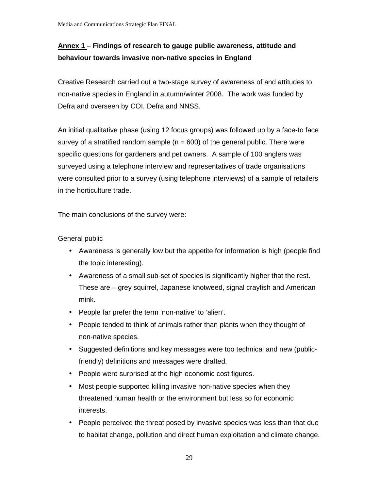## **Annex 1 – Findings of research to gauge public awareness, attitude and behaviour towards invasive non-native species in England**

Creative Research carried out a two-stage survey of awareness of and attitudes to non-native species in England in autumn/winter 2008. The work was funded by Defra and overseen by COI, Defra and NNSS.

An initial qualitative phase (using 12 focus groups) was followed up by a face-to face survey of a stratified random sample ( $n = 600$ ) of the general public. There were specific questions for gardeners and pet owners. A sample of 100 anglers was surveyed using a telephone interview and representatives of trade organisations were consulted prior to a survey (using telephone interviews) of a sample of retailers in the horticulture trade.

The main conclusions of the survey were:

General public

- Awareness is generally low but the appetite for information is high (people find the topic interesting).
- Awareness of a small sub-set of species is significantly higher that the rest. These are – grey squirrel, Japanese knotweed, signal crayfish and American mink.
- People far prefer the term 'non-native' to 'alien'.
- People tended to think of animals rather than plants when they thought of non-native species.
- Suggested definitions and key messages were too technical and new (publicfriendly) definitions and messages were drafted.
- People were surprised at the high economic cost figures.
- Most people supported killing invasive non-native species when they threatened human health or the environment but less so for economic interests.
- People perceived the threat posed by invasive species was less than that due to habitat change, pollution and direct human exploitation and climate change.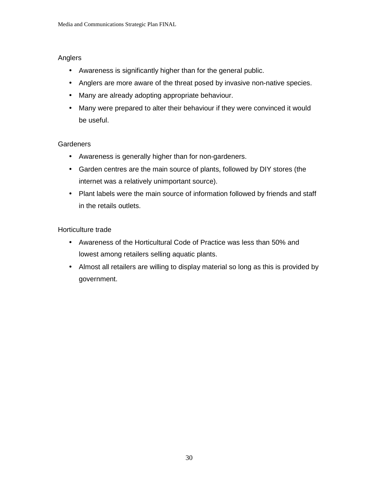### Anglers

- Awareness is significantly higher than for the general public.
- Anglers are more aware of the threat posed by invasive non-native species.
- Many are already adopting appropriate behaviour.
- Many were prepared to alter their behaviour if they were convinced it would be useful.

## **Gardeners**

- Awareness is generally higher than for non-gardeners.
- Garden centres are the main source of plants, followed by DIY stores (the internet was a relatively unimportant source).
- Plant labels were the main source of information followed by friends and staff in the retails outlets.

## Horticulture trade

- Awareness of the Horticultural Code of Practice was less than 50% and lowest among retailers selling aquatic plants.
- Almost all retailers are willing to display material so long as this is provided by government.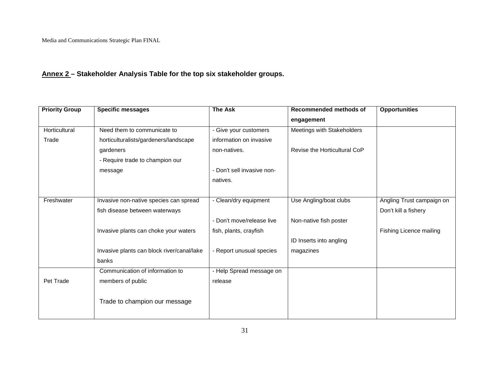## **Annex 2 – Stakeholder Analysis Table for the top six stakeholder groups.**

| Need them to communicate to<br>horticulturalists/gardeners/landscape<br>non-natives. | - Give your customers<br>information on invasive                                                                                                                                                                                                                       | engagement<br>Meetings with Stakeholders                                                                                                                                                  |                           |
|--------------------------------------------------------------------------------------|------------------------------------------------------------------------------------------------------------------------------------------------------------------------------------------------------------------------------------------------------------------------|-------------------------------------------------------------------------------------------------------------------------------------------------------------------------------------------|---------------------------|
|                                                                                      |                                                                                                                                                                                                                                                                        |                                                                                                                                                                                           |                           |
|                                                                                      |                                                                                                                                                                                                                                                                        |                                                                                                                                                                                           |                           |
|                                                                                      |                                                                                                                                                                                                                                                                        |                                                                                                                                                                                           |                           |
|                                                                                      |                                                                                                                                                                                                                                                                        | Revise the Horticultural CoP                                                                                                                                                              |                           |
|                                                                                      |                                                                                                                                                                                                                                                                        |                                                                                                                                                                                           |                           |
|                                                                                      |                                                                                                                                                                                                                                                                        |                                                                                                                                                                                           |                           |
|                                                                                      |                                                                                                                                                                                                                                                                        |                                                                                                                                                                                           |                           |
|                                                                                      |                                                                                                                                                                                                                                                                        |                                                                                                                                                                                           |                           |
|                                                                                      |                                                                                                                                                                                                                                                                        | Use Angling/boat clubs                                                                                                                                                                    | Angling Trust campaign on |
|                                                                                      |                                                                                                                                                                                                                                                                        |                                                                                                                                                                                           | Don't kill a fishery      |
|                                                                                      |                                                                                                                                                                                                                                                                        | Non-native fish poster                                                                                                                                                                    |                           |
|                                                                                      |                                                                                                                                                                                                                                                                        |                                                                                                                                                                                           | Fishing Licence mailing   |
|                                                                                      |                                                                                                                                                                                                                                                                        | ID Inserts into angling                                                                                                                                                                   |                           |
|                                                                                      |                                                                                                                                                                                                                                                                        | magazines                                                                                                                                                                                 |                           |
|                                                                                      |                                                                                                                                                                                                                                                                        |                                                                                                                                                                                           |                           |
|                                                                                      |                                                                                                                                                                                                                                                                        |                                                                                                                                                                                           |                           |
|                                                                                      |                                                                                                                                                                                                                                                                        |                                                                                                                                                                                           |                           |
|                                                                                      |                                                                                                                                                                                                                                                                        |                                                                                                                                                                                           |                           |
|                                                                                      | - Require trade to champion our<br>Invasive non-native species can spread<br>fish disease between waterways<br>Invasive plants can choke your waters<br>Invasive plants can block river/canal/lake<br>Communication of information to<br>Trade to champion our message | - Don't sell invasive non-<br>natives.<br>- Clean/dry equipment<br>- Don't move/release live<br>fish, plants, crayfish<br>- Report unusual species<br>- Help Spread message on<br>release |                           |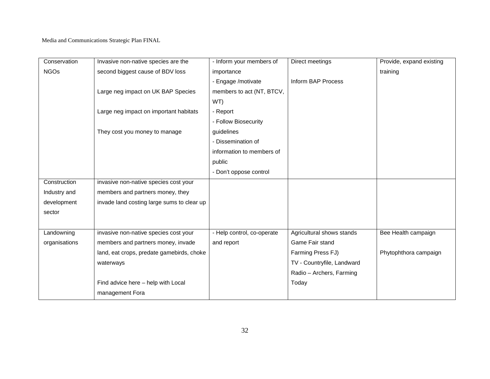| Conservation  | Invasive non-native species are the        | - Inform your members of   | Direct meetings            | Provide, expand existing |
|---------------|--------------------------------------------|----------------------------|----------------------------|--------------------------|
| <b>NGOs</b>   | second biggest cause of BDV loss           | importance                 |                            | training                 |
|               |                                            | - Engage / motivate        | Inform BAP Process         |                          |
|               | Large neg impact on UK BAP Species         | members to act (NT, BTCV,  |                            |                          |
|               |                                            | WT)                        |                            |                          |
|               | Large neg impact on important habitats     | - Report                   |                            |                          |
|               |                                            | - Follow Biosecurity       |                            |                          |
|               | They cost you money to manage              | guidelines                 |                            |                          |
|               |                                            | - Dissemination of         |                            |                          |
|               |                                            | information to members of  |                            |                          |
|               |                                            | public                     |                            |                          |
|               |                                            | - Don't oppose control     |                            |                          |
| Construction  | invasive non-native species cost your      |                            |                            |                          |
| Industry and  | members and partners money, they           |                            |                            |                          |
| development   | invade land costing large sums to clear up |                            |                            |                          |
| sector        |                                            |                            |                            |                          |
|               |                                            |                            |                            |                          |
| Landowning    | invasive non-native species cost your      | - Help control, co-operate | Agricultural shows stands  | Bee Health campaign      |
| organisations | members and partners money, invade         | and report                 | Game Fair stand            |                          |
|               | land, eat crops, predate gamebirds, choke  |                            | Farming Press FJ)          | Phytophthora campaign    |
|               | waterways                                  |                            | TV - Countryfile, Landward |                          |
|               |                                            |                            | Radio - Archers, Farming   |                          |
|               | Find advice here - help with Local         |                            | Today                      |                          |
|               | management Fora                            |                            |                            |                          |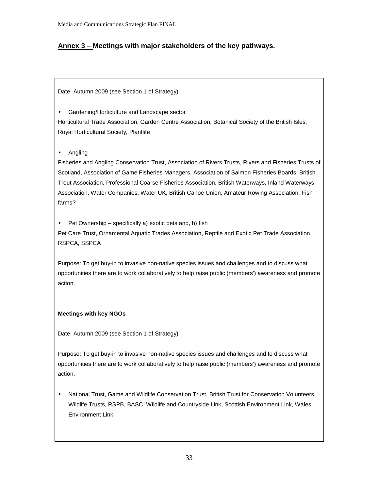## **Annex 3 – Meetings with major stakeholders of the key pathways.**

Date: Autumn 2009 (see Section 1 of Strategy)

• Gardening/Horticulture and Landscape sector Horticultural Trade Association, Garden Centre Association, Botanical Society of the British Isles, Royal Horticultural Society, Plantlife

• Angling

Fisheries and Angling Conservation Trust, Association of Rivers Trusts, Rivers and Fisheries Trusts of Scotland, Association of Game Fisheries Managers, Association of Salmon Fisheries Boards, British Trout Association, Professional Coarse Fisheries Association, British Waterways, Inland Waterways Association, Water Companies, Water UK, British Canoe Union, Amateur Rowing Association. Fish farms?

• Pet Ownership – specifically a) exotic pets and, b) fish Pet Care Trust, Ornamental Aquatic Trades Association, Reptile and Exotic Pet Trade Association, RSPCA, SSPCA

Purpose: To get buy-in to invasive non-native species issues and challenges and to discuss what opportunities there are to work collaboratively to help raise public (members') awareness and promote action.

#### **Meetings with key NGOs**

Date: Autumn 2009 (see Section 1 of Strategy)

Purpose: To get buy-in to invasive non-native species issues and challenges and to discuss what opportunities there are to work collaboratively to help raise public (members') awareness and promote action.

• National Trust, Game and Wildlife Conservation Trust, British Trust for Conservation Volunteers, Wildlife Trusts, RSPB, BASC, Wildlife and Countryside Link, Scottish Environment Link, Wales Environment Link.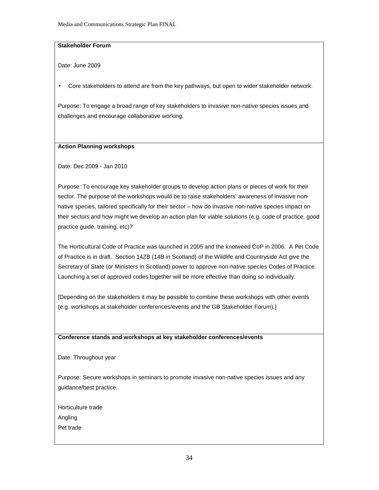#### **Stakeholder Forum**

Date: June 2009

• Core stakeholders to attend are from the key pathways, but open to wider stakeholder network.

Purpose: To engage a broad range of key stakeholders to invasive non-native species issues and challenges and encourage collaborative working.

#### **Action Planning workshops**

Date: Dec 2009 - Jan 2010

Purpose: To encourage key stakeholder groups to develop action plans or pieces of work for their sector. The purpose of the workshops would be to raise stakeholders' awareness of invasive nonnative species, tailored specifically for their sector – how do invasive non-native species impact on their sectors and how might we develop an action plan for viable solutions (e.g. code of practice, good practice guide, training, etc)?

The Horticultural Code of Practice was launched in 2005 and the knotweed CoP in 2006. A Pet Code of Practice is in draft. Section 14ZB (14B in Scotland) of the Wildlife and Countryside Act give the Secretary of State (or Ministers in Scotland) power to approve non-native species Codes of Practice. Launching a set of approved codes together will be more effective than doing so individually.

[Depending on the stakeholders it may be possible to combine these workshops with other events (e.g. workshops at stakeholder conferences/events and the GB Stakeholder Forum).]

#### **Conference stands and workshops at key stakeholder conferences/events**

Date: Throughout year

Purpose: Secure workshops in seminars to promote invasive non-native species issues and any guidance/best practice.

Horticulture trade Angling Pet trade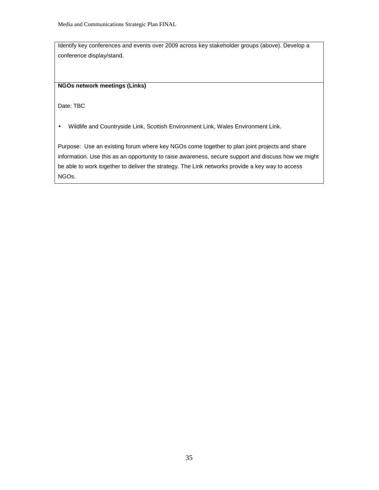Identify key conferences and events over 2009 across key stakeholder groups (above). Develop a conference display/stand.

#### **NGOs network meetings (Links)**

Date: TBC

• Wildlife and Countryside Link, Scottish Environment Link, Wales Environment Link.

Purpose: Use an existing forum where key NGOs come together to plan joint projects and share information. Use this as an opportunity to raise awareness, secure support and discuss how we might be able to work together to deliver the strategy. The Link networks provide a key way to access NGOs.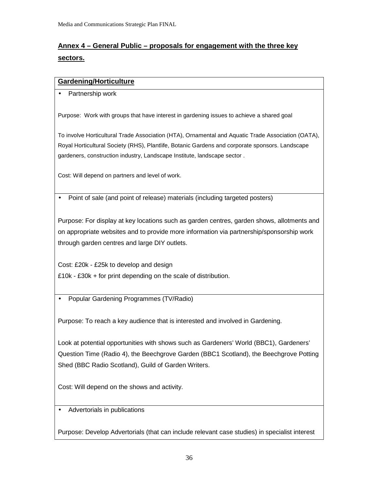## **Annex 4 – General Public – proposals for engagement with the three key sectors.**

#### **Gardening/Horticulture**

• Partnership work

Purpose: Work with groups that have interest in gardening issues to achieve a shared goal

To involve Horticultural Trade Association (HTA), Ornamental and Aquatic Trade Association (OATA), Royal Horticultural Society (RHS), Plantlife, Botanic Gardens and corporate sponsors. Landscape gardeners, construction industry, Landscape Institute, landscape sector .

Cost: Will depend on partners and level of work.

• Point of sale (and point of release) materials (including targeted posters)

Purpose: For display at key locations such as garden centres, garden shows, allotments and on appropriate websites and to provide more information via partnership/sponsorship work through garden centres and large DIY outlets.

Cost: £20k - £25k to develop and design £10k - £30k + for print depending on the scale of distribution.

• Popular Gardening Programmes (TV/Radio)

Purpose: To reach a key audience that is interested and involved in Gardening.

Look at potential opportunities with shows such as Gardeners' World (BBC1), Gardeners' Question Time (Radio 4), the Beechgrove Garden (BBC1 Scotland), the Beechgrove Potting Shed (BBC Radio Scotland), Guild of Garden Writers.

Cost: Will depend on the shows and activity.

• Advertorials in publications

Purpose: Develop Advertorials (that can include relevant case studies) in specialist interest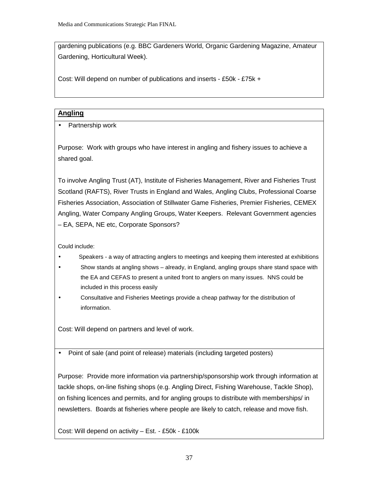gardening publications (e.g. BBC Gardeners World, Organic Gardening Magazine, Amateur Gardening, Horticultural Week).

Cost: Will depend on number of publications and inserts - £50k - £75k +

### **Angling**

• Partnership work

Purpose: Work with groups who have interest in angling and fishery issues to achieve a shared goal.

To involve Angling Trust (AT), Institute of Fisheries Management, River and Fisheries Trust Scotland (RAFTS), River Trusts in England and Wales, Angling Clubs, Professional Coarse Fisheries Association, Association of Stillwater Game Fisheries, Premier Fisheries, CEMEX Angling, Water Company Angling Groups, Water Keepers. Relevant Government agencies – EA, SEPA, NE etc, Corporate Sponsors?

Could include:

- Speakers a way of attracting anglers to meetings and keeping them interested at exhibitions
- Show stands at angling shows already, in England, angling groups share stand space with the EA and CEFAS to present a united front to anglers on many issues. NNS could be included in this process easily
- Consultative and Fisheries Meetings provide a cheap pathway for the distribution of information.

Cost: Will depend on partners and level of work.

• Point of sale (and point of release) materials (including targeted posters)

Purpose: Provide more information via partnership/sponsorship work through information at tackle shops, on-line fishing shops (e.g. Angling Direct, Fishing Warehouse, Tackle Shop), on fishing licences and permits, and for angling groups to distribute with memberships/ in newsletters. Boards at fisheries where people are likely to catch, release and move fish.

Cost: Will depend on activity – Est. - £50k - £100k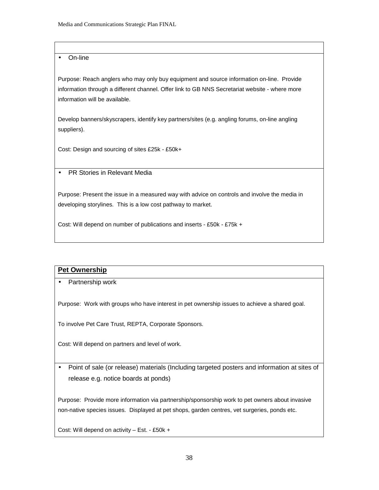#### • On-line

Purpose: Reach anglers who may only buy equipment and source information on-line. Provide information through a different channel. Offer link to GB NNS Secretariat website - where more information will be available.

Develop banners/skyscrapers, identify key partners/sites (e.g. angling forums, on-line angling suppliers).

Cost: Design and sourcing of sites £25k - £50k+

• PR Stories in Relevant Media

Purpose: Present the issue in a measured way with advice on controls and involve the media in developing storylines. This is a low cost pathway to market.

Cost: Will depend on number of publications and inserts - £50k - £75k +

## **Pet Ownership**

• Partnership work

Purpose: Work with groups who have interest in pet ownership issues to achieve a shared goal.

To involve Pet Care Trust, REPTA, Corporate Sponsors.

Cost: Will depend on partners and level of work.

• Point of sale (or release) materials (Including targeted posters and information at sites of release e.g. notice boards at ponds)

Purpose: Provide more information via partnership/sponsorship work to pet owners about invasive non-native species issues. Displayed at pet shops, garden centres, vet surgeries, ponds etc.

Cost: Will depend on activity – Est. - £50k +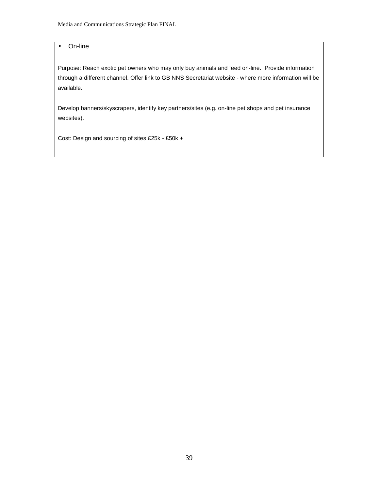#### • On-line

Purpose: Reach exotic pet owners who may only buy animals and feed on-line. Provide information through a different channel. Offer link to GB NNS Secretariat website - where more information will be available.

Develop banners/skyscrapers, identify key partners/sites (e.g. on-line pet shops and pet insurance websites).

Cost: Design and sourcing of sites £25k - £50k +